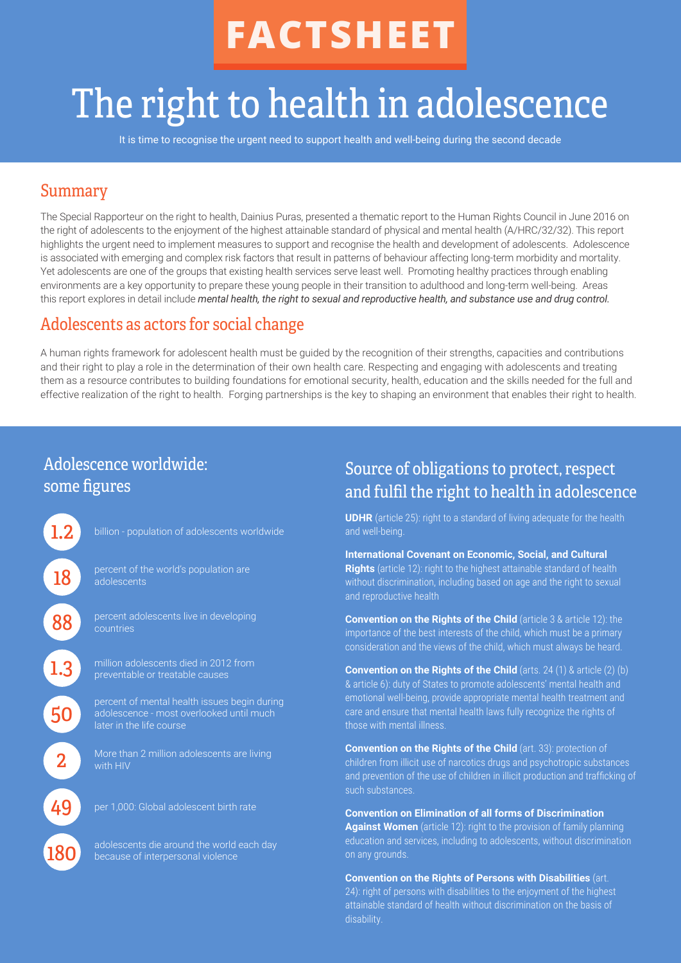# **FACTSHEET**

## The right to health in adolescence

It is time to recognise the urgent need to support health and well-being during the second decade

#### Summary

The Special Rapporteur on the right to health, Dainius Puras, presented a thematic report to the Human Rights Council in June 2016 on the right of adolescents to the enjoyment of the highest attainable standard of physical and mental health (A/HRC/32/32). This report highlights the urgent need to implement measures to support and recognise the health and development of adolescents. Adolescence is associated with emerging and complex risk factors that result in patterns of behaviour affecting long-term morbidity and mortality. Yet adolescents are one of the groups that existing health services serve least well. Promoting healthy practices through enabling environments are a key opportunity to prepare these young people in their transition to adulthood and long-term well-being. Areas this report explores in detail include *mental health, the right to sexual and reproductive health, and substance use and drug control.*

#### Adolescents as actors for social change

A human rights framework for adolescent health must be guided by the recognition of their strengths, capacities and contributions and their right to play a role in the determination of their own health care. Respecting and engaging with adolescents and treating them as a resource contributes to building foundations for emotional security, health, education and the skills needed for the full and effective realization of the right to health. Forging partnerships is the key to shaping an environment that enables their right to health.

## Adolescence worldwide: some figures

| 18  |  |
|-----|--|
| 88  |  |
| 1.3 |  |
| 50  |  |
|     |  |
| 49  |  |
| 180 |  |

billion - population of adolescents worldwide

percent of the world's population are adolescents

percent adolescents live in developing countries

million adolescents died in 2012 from preventable or treatable causes

percent of mental health issues begin during later in the life course

More than 2 million adolescents are living with HIV

per 1,000: Global adolescent birth rate

adolescents die around the world each day because of interpersonal violence

### Source of obligations to protect, respect and fulfil the right to health in adolescence

**UDHR** (article 25): right to a standard of living adequate for the health and well-being.

**International Covenant on Economic, Social, and Cultural Rights** (article 12): right to the highest attainable standard of health without discrimination, including based on age and the right to sexual and reproductive health

**Convention on the Rights of the Child** (article 3 & article 12): the importance of the best interests of the child, which must be a primary consideration and the views of the child, which must always be heard.

**Convention on the Rights of the Child** (arts. 24 (1) & article (2) (b) & article 6): duty of States to promote adolescents' mental health and emotional well-being, provide appropriate mental health treatment and care and ensure that mental health laws fully recognize the rights of those with mental illness.

**Convention on the Rights of the Child** (art. 33): protection of children from illicit use of narcotics drugs and psychotropic substances and prevention of the use of children in illicit production and trafficking of such substances.

**Convention on Elimination of all forms of Discrimination Against Women** (article 12): right to the provision of family planning education and services, including to adolescents, without discrimination on any grounds.

**Convention on the Rights of Persons with Disabilities** (art. 24): right of persons with disabilities to the enjoyment of the highest attainable standard of health without discrimination on the basis of